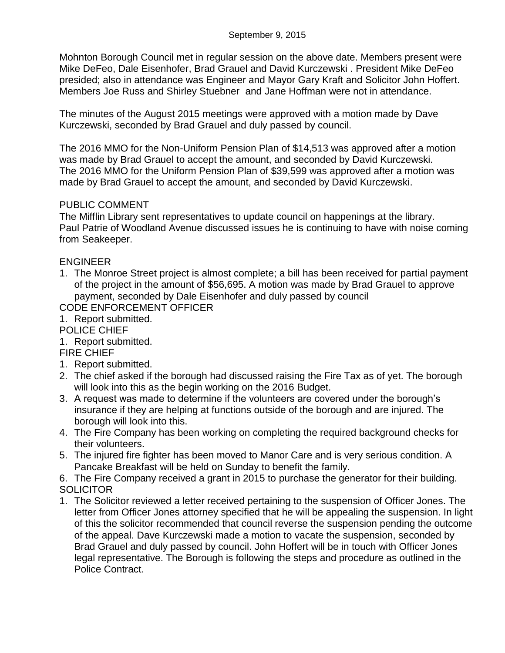Mohnton Borough Council met in regular session on the above date. Members present were Mike DeFeo, Dale Eisenhofer, Brad Grauel and David Kurczewski . President Mike DeFeo presided; also in attendance was Engineer and Mayor Gary Kraft and Solicitor John Hoffert. Members Joe Russ and Shirley Stuebner and Jane Hoffman were not in attendance.

The minutes of the August 2015 meetings were approved with a motion made by Dave Kurczewski, seconded by Brad Grauel and duly passed by council.

The 2016 MMO for the Non-Uniform Pension Plan of \$14,513 was approved after a motion was made by Brad Grauel to accept the amount, and seconded by David Kurczewski. The 2016 MMO for the Uniform Pension Plan of \$39,599 was approved after a motion was made by Brad Grauel to accept the amount, and seconded by David Kurczewski.

## PUBLIC COMMENT

The Mifflin Library sent representatives to update council on happenings at the library. Paul Patrie of Woodland Avenue discussed issues he is continuing to have with noise coming from Seakeeper.

## ENGINEER

1. The Monroe Street project is almost complete; a bill has been received for partial payment of the project in the amount of \$56,695. A motion was made by Brad Grauel to approve payment, seconded by Dale Eisenhofer and duly passed by council

CODE ENFORCEMENT OFFICER

- 1. Report submitted.
- POLICE CHIEF

1. Report submitted.

## FIRE CHIEF

- 1. Report submitted.
- 2. The chief asked if the borough had discussed raising the Fire Tax as of yet. The borough will look into this as the begin working on the 2016 Budget.
- 3. A request was made to determine if the volunteers are covered under the borough's insurance if they are helping at functions outside of the borough and are injured. The borough will look into this.
- 4. The Fire Company has been working on completing the required background checks for their volunteers.
- 5. The injured fire fighter has been moved to Manor Care and is very serious condition. A Pancake Breakfast will be held on Sunday to benefit the family.
- 6. The Fire Company received a grant in 2015 to purchase the generator for their building. **SOLICITOR**
- 1. The Solicitor reviewed a letter received pertaining to the suspension of Officer Jones. The letter from Officer Jones attorney specified that he will be appealing the suspension. In light of this the solicitor recommended that council reverse the suspension pending the outcome of the appeal. Dave Kurczewski made a motion to vacate the suspension, seconded by Brad Grauel and duly passed by council. John Hoffert will be in touch with Officer Jones legal representative. The Borough is following the steps and procedure as outlined in the Police Contract.